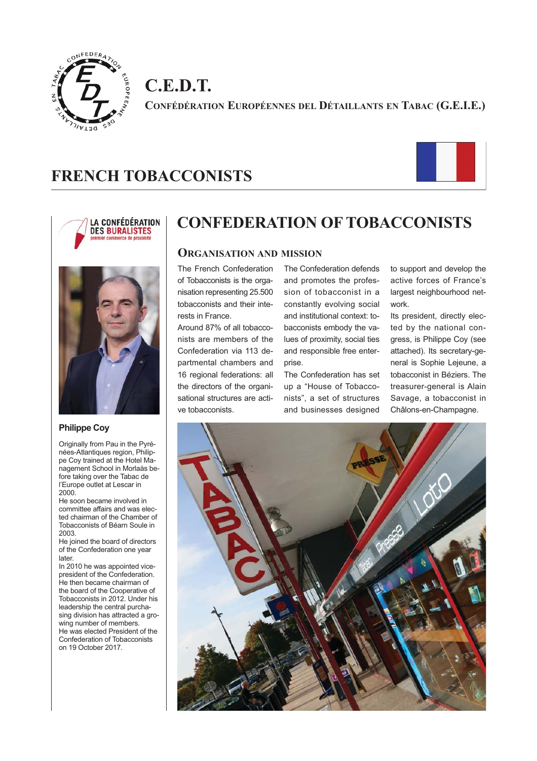

**C.E.D.T. CONFÉDÉRATION EUROPÉENNES DEL DÉTAILLANTS EN TABAC (G.E.I.E.)**

# **FRENCH TOBACCONISTS**







#### **Philippe Coy**

Originally from Pau in the Pyrénées-Atlantiques region, Philippe Coy trained at the Hotel Management School in Morlaàs before taking over the Tabac de l'Europe outlet at Lescar in 2000.

He soon became involved in committee affairs and was elected chairman of the Chamber of Tobacconists of Béarn Soule in 2003.

He joined the board of directors of the Confederation one year later.

In 2010 he was appointed vicepresident of the Confederation. .<br>He then became chairman of the board of the Cooperative of Tobacconists in 2012. Under his leadership the central purchasing division has attracted a growing number of members. He was elected President of the Confederation of Tobacconists on 19 October 2017.

# **CONFEDERATION OF TOBACCONISTS**

## **ORGANISATION AND MISSION**

The French Confederation of Tobacconists is the organisation representing 25.500 tobacconists and their interests in France.

Around 87% of all tobacconists are members of the Confederation via 113 departmental chambers and 16 regional federations: all the directors of the organisational structures are active tobacconists.

The Confederation defends and promotes the profession of tobacconist in a constantly evolving social and institutional context: tobacconists embody the values of proximity, social ties and responsible free enterprise.

The Confederation has set up a "House of Tobacconists", a set of structures and businesses designed

to support and develop the active forces of France's largest neighbourhood network.

Its president, directly elected by the national congress, is Philippe Coy (see attached). Its secretary-general is Sophie Lejeune, a tobacconist in Béziers. The treasurer-general is Alain Savage, a tobacconist in Châlons-en-Champagne.

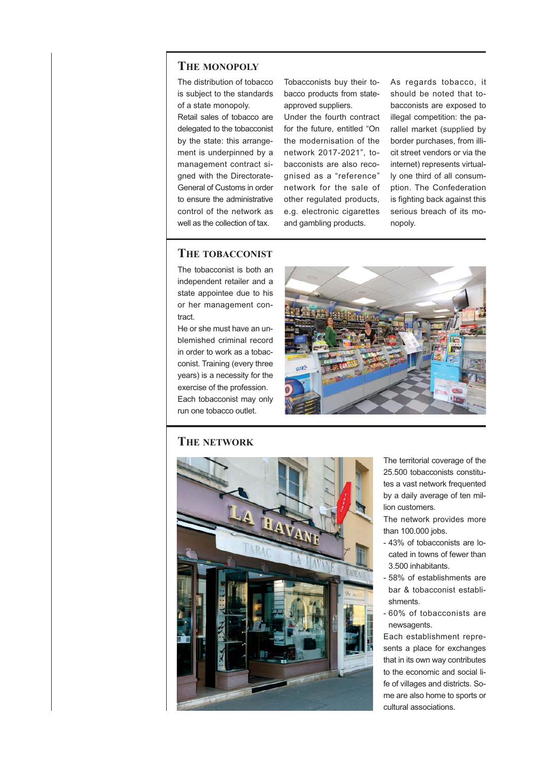## **THE MONOPOLY**

The distribution of tobacco is subject to the standards of a state monopoly.

Retail sales of tobacco are delegated to the tobacconist by the state: this arrangement is underpinned by a management contract signed with the Directorate-General of Customs in order to ensure the administrative control of the network as well as the collection of tax.

Tobacconists buy their tobacco products from stateapproved suppliers.

Under the fourth contract for the future, entitled "On the modernisation of the network 2017-2021", tobacconists are also recognised as a "reference" network for the sale of other regulated products, e.g. electronic cigarettes and gambling products.

As regards tobacco, it should be noted that tobacconists are exposed to illegal competition: the parallel market (supplied by border purchases, from illicit street vendors or via the internet) represents virtually one third of all consumption. The Confederation is fighting back against this serious breach of its monopoly.

## **THE TOBACCONIST**

The tobacconist is both an independent retailer and a state appointee due to his or her management contract.

He or she must have an unblemished criminal record in order to work as a tobacconist. Training (every three years) is a necessity for the exercise of the profession. Each tobacconist may only run one tobacco outlet.



# **THE NETWORK**



The territorial coverage of the 25.500 tobacconists constitutes a vast network frequented by a daily average of ten million customers.

The network provides more than 100.000 jobs.

- 43% of tobacconists are located in towns of fewer than 3.500 inhabitants.
- 58% of establishments are bar & tobacconist establishments.
- 60% of tobacconists are newsagents.

Each establishment represents a place for exchanges that in its own way contributes to the economic and social life of villages and districts. Some are also home to sports or cultural associations.